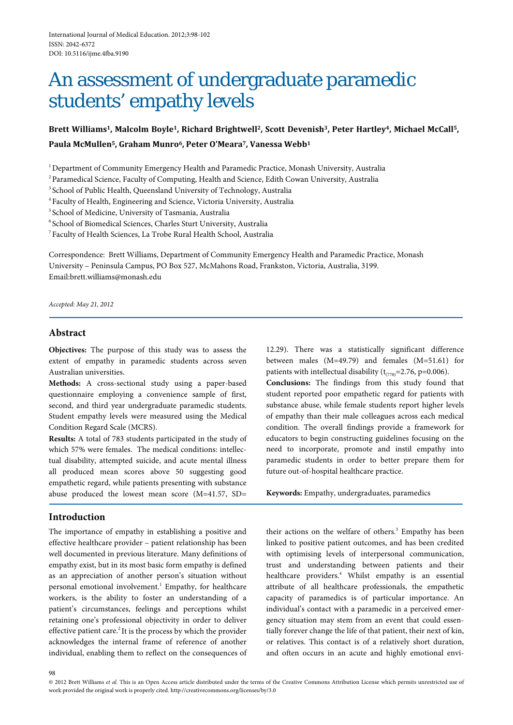# An assessment of undergraduate paramedic students' empathy levels

**Brett Williams1, Malcolm Boyle1, Richard Brightwell2, Scott Devenish3, Peter Hartley4, Michael McCall5, Paula McMullen5, Graham Munro6, Peter O'Meara7, Vanessa Webb1**

1 Department of Community Emergency Health and Paramedic Practice, Monash University, Australia

2 Paramedical Science, Faculty of Computing, Health and Science, Edith Cowan University, Australia

<sup>3</sup> School of Public Health, Queensland University of Technology, Australia

4 Faculty of Health, Engineering and Science, Victoria University, Australia

<sup>5</sup> School of Medicine, University of Tasmania, Australia

6 School of Biomedical Sciences, Charles Sturt University, Australia

7 Faculty of Health Sciences, La Trobe Rural Health School, Australia

Correspondence: Brett Williams, Department of Community Emergency Health and Paramedic Practice, Monash University – Peninsula Campus, PO Box 527, McMahons Road, Frankston, Victoria, Australia, 3199. Email:brett.williams@monash.edu

*Accepted: May 21, 2012*

# **Abstract**

**Objectives:** The purpose of this study was to assess the extent of empathy in paramedic students across seven Australian universities.

**Methods:** A cross-sectional study using a paper-based questionnaire employing a convenience sample of first, second, and third year undergraduate paramedic students. Student empathy levels were measured using the Medical Condition Regard Scale (MCRS).

**Results:** A total of 783 students participated in the study of which 57% were females. The medical conditions: intellectual disability, attempted suicide, and acute mental illness all produced mean scores above 50 suggesting good empathetic regard, while patients presenting with substance abuse produced the lowest mean score (M=41.57, SD=

# **Introduction**

The importance of empathy in establishing a positive and effective healthcare provider – patient relationship has been well documented in previous literature. Many definitions of empathy exist, but in its most basic form empathy is defined as an appreciation of another person's situation without personal emotional involvement.<sup>1</sup> Empathy, for healthcare workers, is the ability to foster an understanding of a patient's circumstances, feelings and perceptions whilst retaining one's professional objectivity in order to deliver effective patient care.<sup>2</sup> It is the process by which the provider acknowledges the internal frame of reference of another individual, enabling them to reflect on the consequences of

12.29). There was a statistically significant difference between males (M=49.79) and females (M=51.61) for patients with intellectual disability ( $t_{(778)}$ =2.76, p=0.006).

**Conclusions:** The findings from this study found that student reported poor empathetic regard for patients with substance abuse, while female students report higher levels of empathy than their male colleagues across each medical condition. The overall findings provide a framework for educators to begin constructing guidelines focusing on the need to incorporate, promote and instil empathy into paramedic students in order to better prepare them for future out-of-hospital healthcare practice.

**Keywords:** Empathy, undergraduates, paramedics

their actions on the welfare of others.<sup>3</sup> Empathy has been linked to positive patient outcomes, and has been credited with optimising levels of interpersonal communication, trust and understanding between patients and their healthcare providers.<sup>4</sup> Whilst empathy is an essential attribute of all healthcare professionals, the empathetic capacity of paramedics is of particular importance. An individual's contact with a paramedic in a perceived emergency situation may stem from an event that could essentially forever change the life of that patient, their next of kin, or relatives. This contact is of a relatively short duration, and often occurs in an acute and highly emotional envi-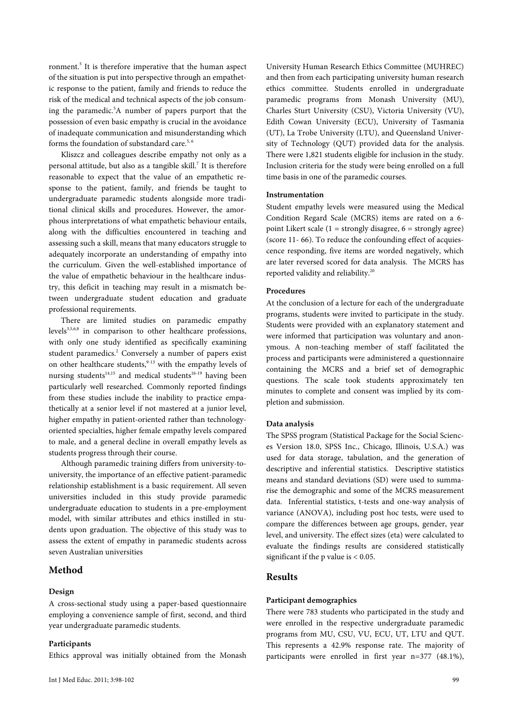ronment.<sup>5</sup> It is therefore imperative that the human aspect of the situation is put into perspective through an empathetic response to the patient, family and friends to reduce the risk of the medical and technical aspects of the job consuming the paramedic.<sup>5</sup>A number of papers purport that the possession of even basic empathy is crucial in the avoidance of inadequate communication and misunderstanding which forms the foundation of substandard care.<sup>5, 6</sup>

Kliszcz and colleagues describe empathy not only as a personal attitude, but also as a tangible skill.<sup>7</sup> It is therefore reasonable to expect that the value of an empathetic response to the patient, family, and friends be taught to undergraduate paramedic students alongside more traditional clinical skills and procedures. However, the amorphous interpretations of what empathetic behaviour entails, along with the difficulties encountered in teaching and assessing such a skill, means that many educators struggle to adequately incorporate an understanding of empathy into the curriculum. Given the well-established importance of the value of empathetic behaviour in the healthcare industry, this deficit in teaching may result in a mismatch between undergraduate student education and graduate professional requirements.

There are limited studies on paramedic empathy levels<sup>3,5,6,8</sup> in comparison to other healthcare professions, with only one study identified as specifically examining student paramedics.<sup>2</sup> Conversely a number of papers exist on other healthcare students,<sup>9-13</sup> with the empathy levels of nursing students<sup>14,15</sup> and medical students<sup>16-19</sup> having been particularly well researched. Commonly reported findings from these studies include the inability to practice empathetically at a senior level if not mastered at a junior level, higher empathy in patient-oriented rather than technologyoriented specialties, higher female empathy levels compared to male, and a general decline in overall empathy levels as students progress through their course.

Although paramedic training differs from university-touniversity, the importance of an effective patient-paramedic relationship establishment is a basic requirement. All seven universities included in this study provide paramedic undergraduate education to students in a pre-employment model, with similar attributes and ethics instilled in students upon graduation. The objective of this study was to assess the extent of empathy in paramedic students across seven Australian universities

# **Method**

# **Design**

A cross-sectional study using a paper-based questionnaire employing a convenience sample of first, second, and third year undergraduate paramedic students.

# **Participants**

Ethics approval was initially obtained from the Monash

University Human Research Ethics Committee (MUHREC) and then from each participating university human research ethics committee. Students enrolled in undergraduate paramedic programs from Monash University (MU), Charles Sturt University (CSU), Victoria University (VU), Edith Cowan University (ECU), University of Tasmania (UT), La Trobe University (LTU), and Queensland University of Technology (QUT) provided data for the analysis. There were 1,821 students eligible for inclusion in the study. Inclusion criteria for the study were being enrolled on a full time basis in one of the paramedic courses.

#### **Instrumentation**

Student empathy levels were measured using the Medical Condition Regard Scale (MCRS) items are rated on a 6 point Likert scale  $(1 =$  strongly disagree,  $6 =$  strongly agree) (score 11- 66). To reduce the confounding effect of acquiescence responding, five items are worded negatively, which are later reversed scored for data analysis. The MCRS has reported validity and reliability.<sup>20</sup>

## **Procedures**

At the conclusion of a lecture for each of the undergraduate programs, students were invited to participate in the study. Students were provided with an explanatory statement and were informed that participation was voluntary and anonymous. A non-teaching member of staff facilitated the process and participants were administered a questionnaire containing the MCRS and a brief set of demographic questions. The scale took students approximately ten minutes to complete and consent was implied by its completion and submission.

# **Data analysis**

The SPSS program (Statistical Package for the Social Sciences Version 18.0, SPSS Inc., Chicago, Illinois, U.S.A.) was used for data storage, tabulation, and the generation of descriptive and inferential statistics. Descriptive statistics means and standard deviations (SD) were used to summarise the demographic and some of the MCRS measurement data. Inferential statistics, t-tests and one-way analysis of variance (ANOVA), including post hoc tests, were used to compare the differences between age groups, gender, year level, and university. The effect sizes (eta) were calculated to evaluate the findings results are considered statistically significant if the p value is  $< 0.05$ .

## **Results**

## **Participant demographics**

There were 783 students who participated in the study and were enrolled in the respective undergraduate paramedic programs from MU, CSU, VU, ECU, UT, LTU and QUT. This represents a 42.9% response rate. The majority of participants were enrolled in first year n=377 (48.1%),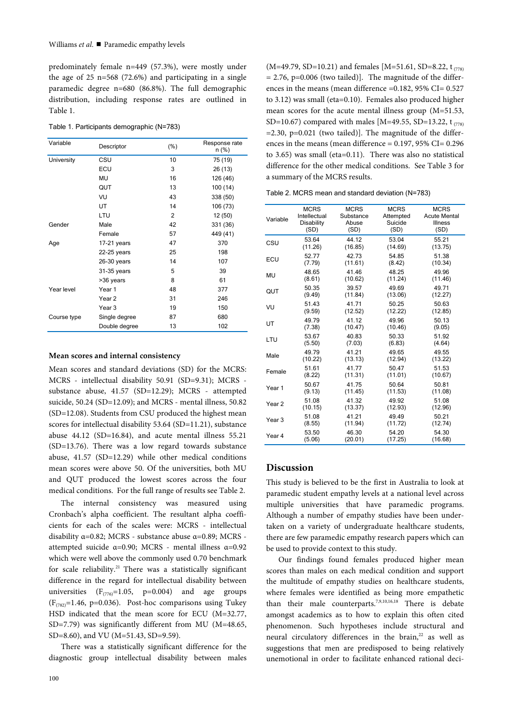predominately female n=449 (57.3%), were mostly under the age of 25 n=568 (72.6%) and participating in a single paramedic degree n=680 (86.8%). The full demographic distribution, including response rates are outlined in Table 1.

Table 1. Participants demographic (N=783)

| Variable          | Descriptor        | $(\%)$ | Response rate<br>n (%) |
|-------------------|-------------------|--------|------------------------|
| <b>University</b> | CSU               | 10     | 75 (19)                |
|                   | ECU               | 3      | 26 (13)                |
|                   | MU                | 16     | 126 (46)               |
|                   | QUT               | 13     | 100(14)                |
|                   | VU                | 43     | 338 (50)               |
|                   | UT                | 14     | 106 (73)               |
|                   | LTU               | 2      | 12 (50)                |
| Gender            | Male              | 42     | 331 (36)               |
|                   | Female            | 57     | 449 (41)               |
| Age               | $17-21$ years     | 47     | 370                    |
|                   | 22-25 years       | 25     | 198                    |
|                   | 26-30 years       | 14     | 107                    |
|                   | 31-35 years       | 5      | 39                     |
|                   | >36 years         | 8      | 61                     |
| Year level        | Year 1            | 48     | 377                    |
|                   | Year 2            | 31     | 246                    |
|                   | Year <sub>3</sub> | 19     | 150                    |
| Course type       | Single degree     | 87     | 680                    |
|                   | Double degree     | 13     | 102                    |

#### **Mean scores and internal consistency**

Mean scores and standard deviations (SD) for the MCRS: MCRS - intellectual disability 50.91 (SD=9.31); MCRS substance abuse, 41.57 (SD=12.29); MCRS - attempted suicide, 50.24 (SD=12.09); and MCRS - mental illness, 50.82 (SD=12.08). Students from CSU produced the highest mean scores for intellectual disability 53.64 (SD=11.21), substance abuse 44.12 (SD=16.84), and acute mental illness 55.21 (SD=13.76). There was a low regard towards substance abuse, 41.57 (SD=12.29) while other medical conditions mean scores were above 50. Of the universities, both MU and QUT produced the lowest scores across the four medical conditions. For the full range of results see Table 2.

The internal consistency was measured using Cronbach's alpha coefficient. The resultant alpha coefficients for each of the scales were: MCRS - intellectual disability  $\alpha$ =0.82; MCRS - substance abuse  $\alpha$ =0.89; MCRS attempted suicide  $\alpha$ =0.90; MCRS - mental illness  $\alpha$ =0.92 which were well above the commonly used 0.70 benchmark for scale reliability.<sup>21</sup> There was a statistically significant difference in the regard for intellectual disability between universities  $(F_{(776)}=1.05, p=0.004)$  and age groups  $(F<sub>(782)</sub>=1.46, p=0.036)$ . Post-hoc comparisons using Tukey HSD indicated that the mean score for ECU (M=32.77, SD=7.79) was significantly different from MU (M=48.65, SD=8.60), and VU (M=51.43, SD=9.59).

There was a statistically significant difference for the diagnostic group intellectual disability between males

(M=49.79, SD=10.21) and females [M=51.61, SD=8.22, t<sub>(778)</sub>  $= 2.76$ , p=0.006 (two tailed)]. The magnitude of the differences in the means (mean difference =0.182, 95% CI= 0.527 to 3.12) was small (eta=0.10). Females also produced higher mean scores for the acute mental illness group (M=51.53, SD=10.67) compared with males [M=49.55, SD=13.22, t  $_{(778)}$  $=2.30$ ,  $p=0.021$  (two tailed)]. The magnitude of the differences in the means (mean difference = 0.197, 95% CI= 0.296 to 3.65) was small (eta=0.11). There was also no statistical difference for the other medical conditions. See Table 3 for a summary of the MCRS results.

Table 2. MCRS mean and standard deviation (N=783)

| Variable  | <b>MCRS</b>  | <b>MCRS</b> | <b>MCRS</b> | <b>MCRS</b>         |
|-----------|--------------|-------------|-------------|---------------------|
|           | Intellectual | Substance   | Attempted   | <b>Acute Mental</b> |
|           | Disability   | Abuse       | Suicide     | <b>Illness</b>      |
|           | (SD)         | (SD)        | (SD)        | (SD)                |
| CSU       | 53.64        | 44.12       | 53.04       | 55.21               |
|           | (11.26)      | (16.85)     | (14.69)     | (13.75)             |
| ECU       | 52.77        | 42.73       | 54.85       | 51.38               |
|           | (7.79)       | (11.61)     | (8.42)      | (10.34)             |
| <b>MU</b> | 48.65        | 41.46       | 48.25       | 49.96               |
|           | (8.61)       | (10.62)     | (11.24)     | (11.46)             |
| QUT       | 50.35        | 39.57       | 49.69       | 49.71               |
|           | (9.49)       | (11.84)     | (13.06)     | (12.27)             |
| VU        | 51.43        | 41.71       | 50.25       | 50.63               |
|           | (9.59)       | (12.52)     | (12.22)     | (12.85)             |
| UT        | 49.79        | 41.12       | 49.96       | 50.13               |
|           | (7.38)       | (10.47)     | (10.46)     | (9.05)              |
| LTU       | 53.67        | 40.83       | 50.33       | 51.92               |
|           | (5.50)       | (7.03)      | (6.83)      | (4.64)              |
| Male      | 49.79        | 41.21       | 49.65       | 49.55               |
|           | (10.22)      | (13.13)     | (12.94)     | (13.22)             |
| Female    | 51.61        | 41.77       | 50.47       | 51.53               |
|           | (8.22)       | (11.31)     | (11.01)     | (10.67)             |
| Year 1    | 50.67        | 41.75       | 50.64       | 50.81               |
|           | (9.13)       | (11.45)     | (11.53)     | (11.08)             |
| Year 2    | 51.08        | 41.32       | 49.92       | 51.08               |
|           | (10.15)      | (13.37)     | (12.93)     | (12.96)             |
| Year 3    | 51.08        | 41.21       | 49.49       | 50.21               |
|           | (8.55)       | (11.94)     | (11.72)     | (12.74)             |
| Year 4    | 53.50        | 46.30       | 54.20       | 54.30               |
|           | (5.06)       | (20.01)     | (17.25)     | (16.68)             |

# **Discussion**

This study is believed to be the first in Australia to look at paramedic student empathy levels at a national level across multiple universities that have paramedic programs. Although a number of empathy studies have been undertaken on a variety of undergraduate healthcare students, there are few paramedic empathy research papers which can be used to provide context to this study.

Our findings found females produced higher mean scores than males on each medical condition and support the multitude of empathy studies on healthcare students, where females were identified as being more empathetic than their male counterparts.<sup>7,9,10,16,18</sup> There is debate amongst academics as to how to explain this often cited phenomenon. Such hypotheses include structural and neural circulatory differences in the brain, $22$  as well as suggestions that men are predisposed to being relatively unemotional in order to facilitate enhanced rational deci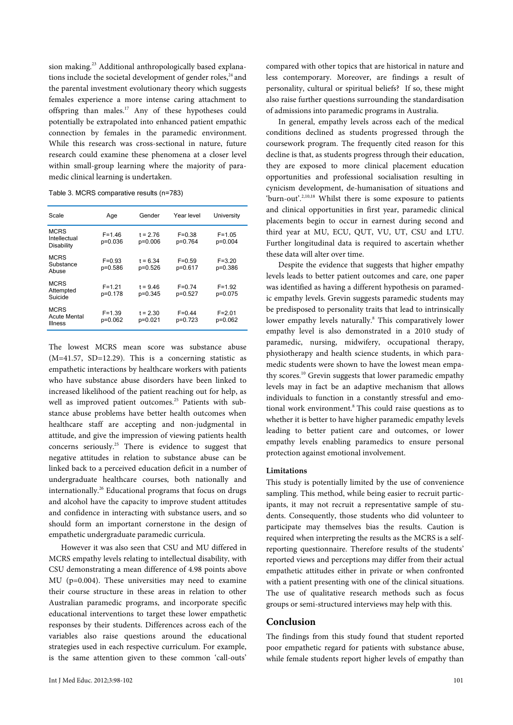sion making.<sup>23</sup> Additional anthropologically based explanations include the societal development of gender roles, $24$  and the parental investment evolutionary theory which suggests females experience a more intense caring attachment to offspring than males.<sup>17</sup> Any of these hypotheses could potentially be extrapolated into enhanced patient empathic connection by females in the paramedic environment. While this research was cross-sectional in nature, future research could examine these phenomena at a closer level within small-group learning where the majority of paramedic clinical learning is undertaken.

Table 3. MCRS comparative results (n=783)

| Scale                                                | Age                     | Gender                  | Year level            | University            |
|------------------------------------------------------|-------------------------|-------------------------|-----------------------|-----------------------|
| <b>MCRS</b><br>Intellectual<br>Disability            | $F = 1.46$<br>p=0.036   | $t = 2.76$<br>p=0.006   | $F = 0.38$<br>p=0.764 | $F = 1.05$<br>p=0.004 |
| <b>MCRS</b><br>Substance<br>Abuse                    | $F = 0.93$<br>p=0.586   | $t = 6.34$<br>$p=0.526$ | $F = 0.59$<br>p=0.617 | $F = 3.20$<br>p=0.386 |
| <b>MCRS</b><br>Attempted<br>Suicide                  | $F = 1.21$<br>p=0.178   | $t = 9.46$<br>$p=0.345$ | $F = 0.74$<br>p=0.527 | $F = 1.92$<br>p=0.075 |
| <b>MCRS</b><br><b>Acute Mental</b><br><b>Illness</b> | $F = 1.39$<br>$p=0.062$ | $t = 2.30$<br>p=0.021   | $F = 0.44$<br>p=0.723 | $F = 2.01$<br>p=0.062 |

The lowest MCRS mean score was substance abuse  $(M=41.57, SD=12.29)$ . This is a concerning statistic as empathetic interactions by healthcare workers with patients who have substance abuse disorders have been linked to increased likelihood of the patient reaching out for help, as well as improved patient outcomes.<sup>25</sup> Patients with substance abuse problems have better health outcomes when healthcare staff are accepting and non-judgmental in attitude, and give the impression of viewing patients health concerns seriously.<sup>25</sup> There is evidence to suggest that negative attitudes in relation to substance abuse can be linked back to a perceived education deficit in a number of undergraduate healthcare courses, both nationally and internationally.<sup>26</sup> Educational programs that focus on drugs and alcohol have the capacity to improve student attitudes and confidence in interacting with substance users, and so should form an important cornerstone in the design of empathetic undergraduate paramedic curricula.

However it was also seen that CSU and MU differed in MCRS empathy levels relating to intellectual disability, with CSU demonstrating a mean difference of 4.98 points above MU (p=0.004). These universities may need to examine their course structure in these areas in relation to other Australian paramedic programs, and incorporate specific educational interventions to target these lower empathetic responses by their students. Differences across each of the variables also raise questions around the educational strategies used in each respective curriculum. For example, is the same attention given to these common 'call-outs'

compared with other topics that are historical in nature and less contemporary. Moreover, are findings a result of personality, cultural or spiritual beliefs? If so, these might also raise further questions surrounding the standardisation of admissions into paramedic programs in Australia.

In general, empathy levels across each of the medical conditions declined as students progressed through the coursework program. The frequently cited reason for this decline is that, as students progress through their education, they are exposed to more clinical placement education opportunities and professional socialisation resulting in cynicism development, de-humanisation of situations and 'burn-out'.<sup>2,10,18</sup> Whilst there is some exposure to patients and clinical opportunities in first year, paramedic clinical placements begin to occur in earnest during second and third year at MU, ECU, QUT, VU, UT, CSU and LTU. Further longitudinal data is required to ascertain whether these data will alter over time.

Despite the evidence that suggests that higher empathy levels leads to better patient outcomes and care, one paper was identified as having a different hypothesis on paramedic empathy levels. Grevin suggests paramedic students may be predisposed to personality traits that lead to intrinsically lower empathy levels naturally.<sup>8</sup> This comparatively lower empathy level is also demonstrated in a 2010 study of paramedic, nursing, midwifery, occupational therapy, physiotherapy and health science students, in which paramedic students were shown to have the lowest mean empathy scores.<sup>10</sup> Grevin suggests that lower paramedic empathy levels may in fact be an adaptive mechanism that allows individuals to function in a constantly stressful and emotional work environment.<sup>8</sup> This could raise questions as to whether it is better to have higher paramedic empathy levels leading to better patient care and outcomes, or lower empathy levels enabling paramedics to ensure personal protection against emotional involvement.

## **Limitations**

This study is potentially limited by the use of convenience sampling. This method, while being easier to recruit participants, it may not recruit a representative sample of students. Consequently, those students who did volunteer to participate may themselves bias the results. Caution is required when interpreting the results as the MCRS is a selfreporting questionnaire. Therefore results of the students' reported views and perceptions may differ from their actual empathetic attitudes either in private or when confronted with a patient presenting with one of the clinical situations. The use of qualitative research methods such as focus groups or semi-structured interviews may help with this.

# **Conclusion**

The findings from this study found that student reported poor empathetic regard for patients with substance abuse, while female students report higher levels of empathy than